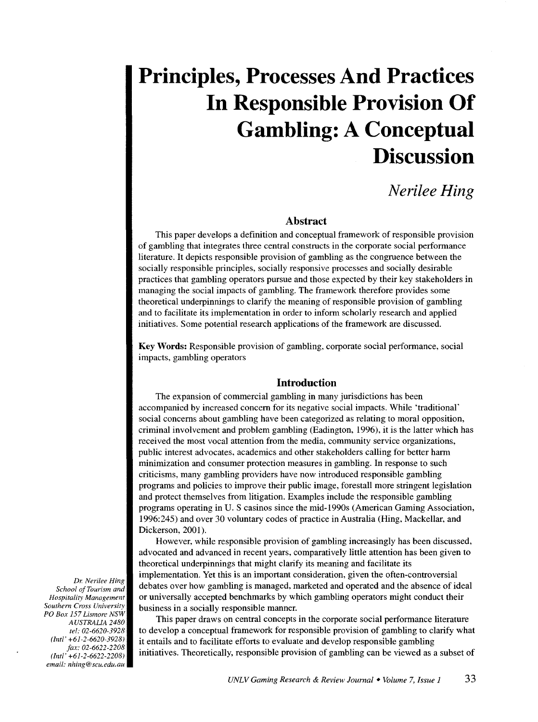# **Principles, Processes And Practices In Responsible Provision Of Gambling: A Conceptual Discussion**

# *Nerilee Hing*

### **Abstract**

This paper develops a definition and conceptual framework of responsible provision of gambling that integrates three central constructs in the corporate social performance literature. It depicts responsible provision of gambling as the congruence between the socially responsible principles, socially responsive processes and socially desirable practices that gambling operators pursue and those expected by their key stakeholders in managing the social impacts of gambling. The framework therefore provides some theoretical underpinnings to clarify the meaning of responsible provision of gambling and to facilitate its implementation in order to inform scholarly research and applied initiatives. Some potential research applications of the framework are discussed.

Key Words: Responsible provision of gambling, corporate social performance, social impacts, gambling operators

#### **Introduction**

The expansion of commercial gambling in many jurisdictions has been accompanied by increased concern for its negative social impacts. While 'traditional' social concerns about gambling have been categorized as relating to moral opposition, criminal involvement and problem gambling (Eadington, 1996), it is the latter which has received the most vocal attention from the media, community service organizations, public interest advocates, academics and other stakeholders calling for better harm minimization and consumer protection measures in gambling. In response to such criticisms, many gambling providers have now introduced responsible gambling programs and policies to improve their public image, forestall more stringent legislation and protect themselves from litigation. Examples include the responsible gambling programs operating in U.S casinos since the mid-1990s (American Gaming Association, 1996:245) and over 30 voluntary codes of practice in Australia (Hing, Mackellar, and Dickerson, 2001).

However, while responsible provision of gambling increasingly has been discussed, advocated and advanced in recent years, comparatively little attention has been given to theoretical underpinnings that might clarify its meaning and facilitate its implementation. Yet this is an important consideration, given the often-controversial debates over how gambling is managed, marketed and operated and the absence of ideal or universally accepted benchmarks by which gambling operators might conduct their business in a socially responsible manner.

This paper draws on central concepts in the corporate social performance literature to develop a conceptual framework for responsible provision of gambling to clarify what it entails and to facilitate efforts to evaluate and develop responsible gambling initiatives. Theoretically, responsible provision of gambling can be viewed as a subset of

*Dr. Nerilee Hing School ofTourism and Hospitality Management Southern Cross University PO Box 157 Lismore NSW AUSTRAUA 2480 tel: 02-6620-3928 (Inti' +61-2-6620-3928) fax: 02-6622-2208 (Inti' +61-2-6622-2208) email: nhing@scu.edu.au*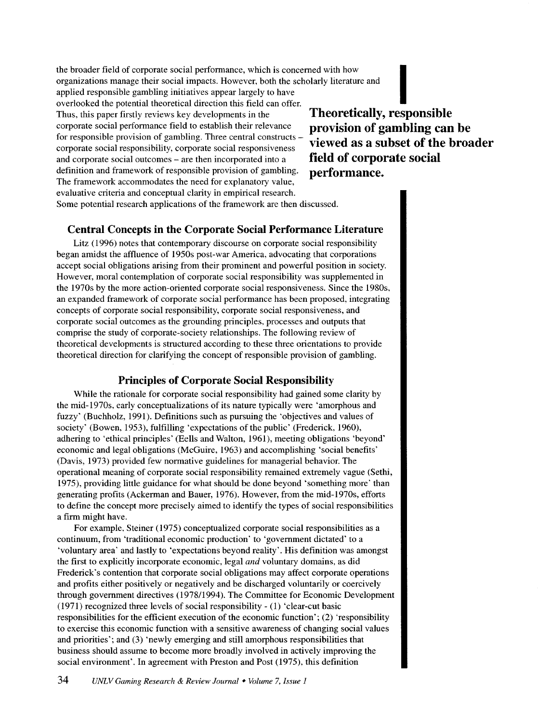the broader field of corporate social performance, which is concerned with how organizations manage their social impacts. However, both the scholarly literature and applied responsible gambling initiatives appear largely to have the broader field of corporate social performance, which is concerned with how<br>organizations manage their social impacts. However, both the scholarly literature and<br>applied responsible gambling initiatives appear largely t Thus, this paper firstly reviews key developments in the corporate social performance field to establish their relevance for responsible provision of gambling. Three central constructs corporate social responsibility, corporate social responsiveness and corporate social outcomes - are then incorporated into a definition and framework of responsible provision of gambling. The framework accommodates the need for explanatory value, evaluative criteria and conceptual clarity in empirical research. Some potential research applications of the framework are then discussed.

**Theoretically, responsible provision of gambling can be viewed as a subset of the broader field of corporate social performance.** 

# **Central Concepts in the Corporate Social Performance Literature**

Litz ( 1996) notes that contemporary discourse on corporate social responsibility began amidst the affluence of 1950s post-war America, advocating that corporations accept social obligations arising from their prominent and powerful position in society. However, moral contemplation of corporate social responsibility was supplemented in the 1970s by the more action-oriented corporate social responsiveness. Since the 1980s, an expanded framework of corporate social performance has been proposed, integrating concepts of corporate social responsibility, corporate social responsiveness, and corporate social outcomes as the grounding principles, processes and outputs that comprise the study of corporate-society relationships. The following review of theoretical developments is structured according to these three orientations to provide theoretical direction for clarifying the concept of responsible provision of gambling.

# **Principles of Corporate Social Responsibility**

While the rationale for corporate social responsibility had gained some clarity by the mid-1970s, early conceptualizations of its nature typically were 'amorphous and fuzzy' (Buchholz, 1991). Definitions such as pursuing the 'objectives and values of society' (Bowen, 1953), fulfilling 'expectations of the public' (Frederick, 1960), adhering to 'ethical principles' (Eells and Walton, 1961), meeting obligations 'beyond' economic and legal obligations (McGuire, 1963) and accomplishing 'social benefits' (Davis, 1973) provided few normative guidelines for managerial behavior. The operational meaning of corporate social responsibility remained extremely vague (Sethi, 1975), providing little guidance for what should be done beyond 'something more' than generating profits (Ackerman and Bauer, 1976). However, from the mid-1970s, efforts to define the concept more precisely aimed to identify the types of social responsibilities a firm might have.

For example, Steiner (1975) conceptualized corporate social responsibilities as a continuum, from 'traditional economic production' to 'government dictated' to a 'voluntary area' and lastly to 'expectations beyond reality'. His definition was amongst the first to explicitly incorporate economic, legal *and* voluntary domains, as did Frederick's contention that corporate social obligations may affect corporate operations and profits either positively or negatively and be discharged voluntarily or coercively through government directives (1978/1994). The Committee for Economic Development (1971) recognized three levels of social responsibility- (1) 'clear-cut basic responsibilities for the efficient execution of the economic function'; (2) 'responsibility to exercise this economic function with a sensitive awareness of changing social values and priorities'; and (3) 'newly emerging and still amorphous responsibilities that business should assume to become more broadly involved in actively improving the social environment'. In agreement with Preston and Post (1975), this definition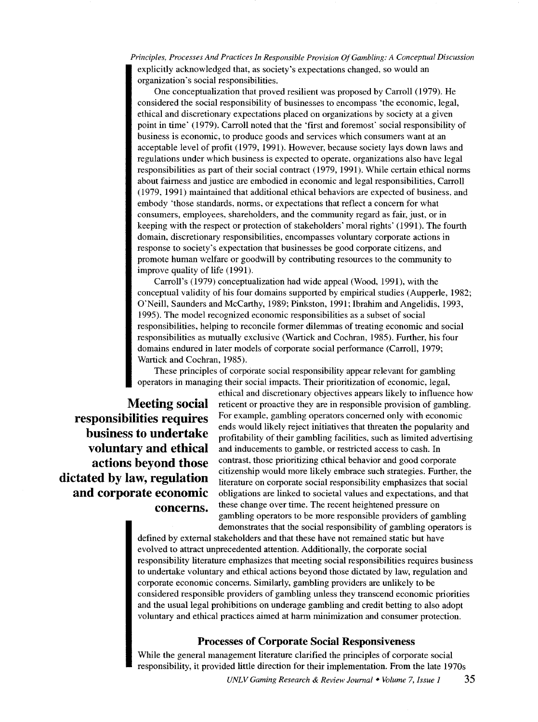*Principles, Processes And Practices In Responsible Provision Of Gambling: A Conceptual Discussion*  explicitly acknowledged that, as society's expectations changed, so would an organization's social responsibilities.

One conceptualization that proved resilient was proposed by Carroll (1979). He considered the social responsibility of businesses to encompass 'the economic, legal, ethical and discretionary expectations placed on organizations by society at a given point in time' (1979). Carroll noted that the 'first and foremost' social responsibility of business is economic, to produce goods and services which consumers want at an acceptable level of profit (1979, 1991). However, because society lays down laws and regulations under which business is expected to operate, organizations also have legal responsibilities as part of their social contract (1979, 1991). While certain ethical norms about fairness and justice are embodied in economic and legal responsibilities, Carroll (1979, 1991) maintained that additional ethical behaviors are expected of business, and embody 'those standards, norms, or expectations that reflect a concern for what consumers, employees, shareholders, and the community regard as fair, just, or in keeping with the respect or protection of stakeholders' moral rights' (1991). The fourth domain, discretionary responsibilities, encompasses voluntary corporate actions in response to society's expectation that businesses be good corporate citizens, and promote human welfare or goodwill by contributing resources to the community to improve quality of life (1991).

Carroll's (1979) conceptualization had wide appeal (Wood, 1991), with the conceptual validity of his four domains supported by empirical studies (Aupperle, 1982; O'Neill, Saunders and McCarthy, 1989; Pinkston, 1991; Ibrahim and Angelidis, 1993, 1995). The model recognized economic responsibilities as a subset of social responsibilities, helping to reconcile former dilemmas of treating economic and social responsibilities as mutually exclusive (Wartick and Cochran, 1985). Further, his four domains endured in later models of corporate social performance (Carroll, 1979; Wartick and Cochran, 1985).

These principles of corporate social responsibility appear relevant for gambling operators in managing their social impacts. Their prioritization of economic, legal,

ethical and discretionary objectives appears likely to influence how **Meeting social** reticent or proactive they are in responsible provision of gambling. **responsibilities requires** For example, gambling operators concerned only with economic ends would likely reject initiatives that threaten the popularity and **business to undertake** profitability of their gambling facilities, such as limited advertising **voluntary and ethical** and inducements to gamble, or restricted access to cash. In and inducements to gamble, or restricted access to cash. In **actions beyond those** contrast, those prioritizing ethical behavior and good corporate citizenship would more likely embrace such strategies. Further, the **dictated by law, regulation** literature on corporate social responsibility emphasizes that social **and corporate economic** obligations are linked to societal values and expectations, and that **and corporate economic** obligations are linked to societal values and expectations, and that **concerns.** these change over time. The recent heightened pressure on gambling operators to be more responsible providers of gambling demonstrates that the social responsibility of gambling operators is

> defined by external stakeholders and that these have not remained static but have evolved to attract unprecedented attention. Additionally, the corporate social responsibility literature emphasizes that meeting social responsibilities requires business to undertake voluntary and ethical actions beyond those dictated by law, regulation and corporate economic concerns. Similarly, gambling providers are unlikely to be considered responsible providers of gambling unless they transcend economic priorities and the usual legal prohibitions on underage gambling and credit betting to also adopt voluntary and ethical practices aimed at harm minimization and consumer protection.

#### **Processes of Corporate Social Responsiveness**

While the general management literature clarified the principles of corporate social responsibility, it provided little direction for their implementation. From the late 1970s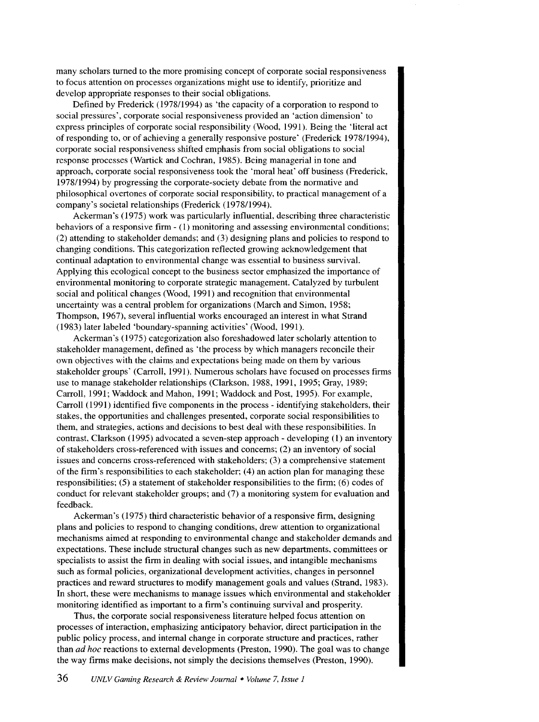many scholars turned to the more promising concept of corporate social responsiveness to focus attention on processes organizations might use to identify, prioritize and develop appropriate responses to their social obligations.

Defined by Frederick ( 1978/1994) as 'the capacity of a corporation to respond to social pressures', corporate social responsiveness provided an 'action dimension· to express principles of corporate social responsibility (Wood, 1991). Being the 'literal act of responding to, or of achieving a generally responsive posture' (Frederick 1978/1994), corporate social responsiveness shifted emphasis from social obligations to social response processes (Wartick and Cochran, 1985). Being managerial in tone and approach, corporate social responsiveness took the 'moral heat' off business (Frederick, 1978/1994) by progressing the corporate-society debate from the normative and philosophical overtones of corporate social responsibility, to practical management of a company's societal relationships (Frederick (197811994).

Ackerman's (1975) work was particularly influential, describing three characteristic behaviors of a responsive firm - (1) monitoring and assessing environmental conditions; (2) attending to stakeholder demands; and (3) designing plans and policies to respond to changing conditions. This categorization reflected growing acknowledgement that continual adaptation to environmental change was essential to business survival. Applying this ecological concept to the business sector emphasized the importance of environmental monitoring to corporate strategic management. Catalyzed by turbulent social and political changes (Wood, 1991) and recognition that environmental uncertainty was a central problem for organizations (March and Simon, 1958; Thompson, 1967), several influential works encouraged an interest in what Strand (1983) later labeled 'boundary-spanning activities' (Wood, 1991).

Ackerman's (1975) categorization also foreshadowed later scholarly attention to stakeholder management, defined as 'the process by which managers reconcile their own objectives with the claims and expectations being made on them by various stakeholder groups' (Carroll, 1991). Numerous scholars have focused on processes firms use to manage stakeholder relationships (Clarkson, 1988, 1991, 1995; Gray, 1989; Carroll, 1991; Waddock and Mahon, 1991; Waddock and Post, 1995). For example, Carroll (1991) identified five components in the process- identifying stakeholders, their stakes, the opportunities and challenges presented, corporate social responsibilities to them, and strategies, actions and decisions to best deal with these responsibilities. In contrast, Clarkson (1995) advocated a seven-step approach- developing (1) an inventory of stakeholders cross-referenced with issues and concerns; (2) an inventory of social issues and concerns cross-referenced with stakeholders; (3) a comprehensive statement of the firm's responsibilities to each stakeholder;  $(4)$  an action plan for managing these responsibilities; (5) a statement of stakeholder responsibilities to the firm; (6) codes of conduct for relevant stakeholder groups; and (7) a monitoring system for evaluation and feedback.

Ackerman's (1975) third characteristic behavior of a responsive firm, designing plans and policies to respond to changing conditions, drew attention to organizational mechanisms aimed at responding to environmental change and stakeholder demands and expectations. These include structural changes such as new departments, committees or specialists to assist the firm in dealing with social issues, and intangible mechanisms such as formal policies, organizational development activities, changes in personnel practices and reward structures to modify management goals and values (Strand, 1983). In short, these were mechanisms to manage issues which environmental and stakeholder monitoring identified as important to a firm's continuing survival and prosperity.

Thus, the corporate social responsiveness literature helped focus attention on processes of interaction, emphasizing anticipatory behavior, direct participation in the public policy process, and internal change in corporate structure and practices, rather than *ad hoc* reactions to external developments (Preston, 1990). The goal was to change the way firms make decisions, not simply the decisions themselves (Preston, 1990).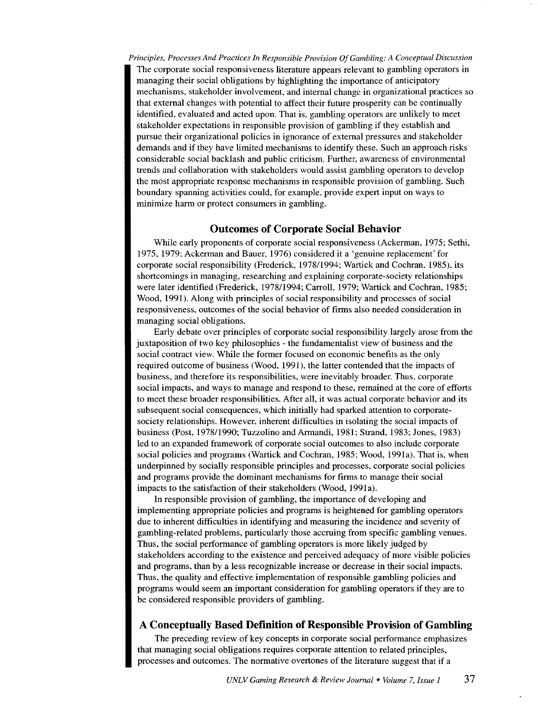*Principles, Processes And Practices In Responsible Provision Of Gambling: A Conceptual Discussion*  The corporate social responsiveness literature appears relevant to gambling operators in managing their social obligations by highlighting the importance of anticipatory mechanisms, stakeholder involvement, and internal change in organizational practices so that external changes with potential to affect their future prosperity can be continually identified, evaluated and acted upon. That is, gambling operators are unlikely to meet stakeholder expectations in responsible provision of gambling if they establish and pursue their organizational policies in ignorance of external pressures and stakeholder demands and if they have limited mechanisms to identify these. Such an approach risks considerable social backlash and public criticism. Further, awareness of environmental trends and collaboration with stakeholders would assist gambling operators to develop the most appropriate response mechanisms in responsible provision of gambling. Such boundary spanning activities could, for example, provide expert input on ways to minimize harm or protect consumers in gambling.

#### **Outcomes of Corporate Social Behavior**

While early proponents of corporate social responsiveness (Ackerman, 1975; Sethi, 1975, 1979; Ackerman and Bauer, 1976) considered it a 'genuine replacement' for corporate social responsibility (Frederick, 1978/1994; Wartick and Cochran, 1985), its shortcomings in managing, researching and explaining corporate-society relationships were later identified (Frederick, 1978/1994; Carroll, 1979; Wartick and Cochran, 1985; Wood, 1991). Along with principles of social responsibility and processes of social responsiveness, outcomes of the social behavior of firms also needed consideration in managing social obligations.

Early debate over principles of corporate social responsibility largely arose from the juxtaposition of two key philosophies - the fundamentalist view of business and the social contract view. While the former focused on economic benefits as the only required outcome of business (Wood, 1991 ), the latter contended that the impacts of business, and therefore its responsibilities, were inevitably broader. Thus, corporate social impacts, and ways to manage and respond to these, remained at the core of efforts to meet these broader responsibilities. After all, it was actual corporate behavior and its subsequent social consequences, which initially had sparked attention to corporatesociety relationships. However, inherent difficulties in isolating the social impacts of business (Post, 1978/1990; Tuzzolino andArmandi, 1981; Strand, 1983; Jones, 1983) led to an expanded framework of corporate social outcomes to also include corporate social policies and programs (Wartick and Cochran, 1985; Wood, 1991a). That is, when underpinned by socially responsible principles and processes, corporate social policies and programs provide the dominant mechanisms for firms to manage their social impacts to the satisfaction of their stakeholders (Wood, 1991a).

In responsible provision of gambling, the importance of developing and implementing appropriate policies and programs is heightened for gambling operators due to inherent difficulties in identifying and measuring the incidence and severity of gambling-related problems, particularly those accruing from specific gambling venues. Thus, the social performance of gambling operators is more likely judged by stakeholders according to the existence and perceived adequacy of more visible policies and programs, than by a less recognizable increase or decrease in their social impacts. Thus, the quality and effective implementation of responsible gambling policies and programs would seem an important consideration for gambling operators if they are to be considered responsible providers of gambling.

## **A Conceptually Based Definition of Responsible Provision of Gambling**

The preceding review of key concepts in corporate social performance emphasizes that managing social obligations requires corporate attention to related principles, processes and outcomes. The normative overtones of the literature suggest that if a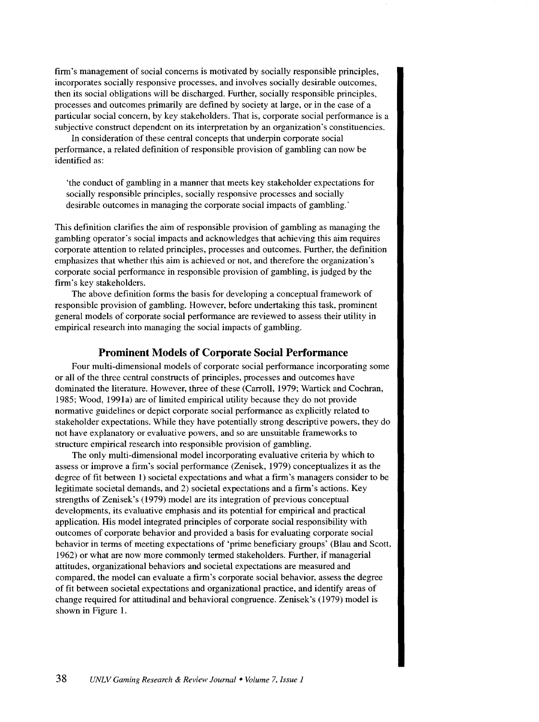firm's management of social concerns is motivated by socially responsible principles, incorporates socially responsive processes, and involves socially desirable outcomes, then its social obligations will be discharged. Further, socially responsible principles, processes and outcomes primarily are defined by society at large, or in the case of a particular social concern, by key stakeholders. That is, corporate social performance is a subjective construct dependent on its interpretation by an organization's constituencies.

In consideration of these central concepts that underpin corporate social performance, a related definition of responsible provision of gambling can now be identified as:

'the conduct of gambling in a manner that meets key stakeholder expectations for socially responsible principles, socially responsive processes and socially desirable outcomes in managing the corporate social impacts of gambling.'

This definition clarifies the aim of responsible provision of gambling as managing the gambling operator's social impacts and acknowledges that achieving this aim requires corporate attention to related principles, processes and outcomes. Further, the definition emphasizes that whether this aim is achieved or not, and therefore the organization's corporate social performance in responsible provision of gambling, is judged by the firm's key stakeholders.

The above definition forms the basis for developing a conceptual framework of responsible provision of gambling. However, before undertaking this task, prominent general models of corporate social performance are reviewed to assess their utility in empirical research into managing the social impacts of gambling.

## **Prominent Models of Corporate Social Performance**

Four multi-dimensional models of corporate social performance incorporating some or all of the three central constructs of principles, processes and outcomes have dominated the literature. However, three of these (Carroll, 1979; Wartick and Cochran, 1985; Wood, 1991a) are of limited empirical utility because they do not provide normative guidelines or depict corporate social performance as explicitly related to stakeholder expectations. While they have potentially strong descriptive powers, they do not have explanatory or evaluative powers, and so are unsuitable frameworks to structure empirical research into responsible provision of gambling.

The only multi-dimensional model incorporating evaluative criteria by which to assess or improve a firm's social performance (Zenisek, 1979) conceptualizes it as the degree of fit between 1) societal expectations and what a firm's managers consider to be legitimate societal demands, and 2) societal expectations and a firm's actions. Key strengths of Zenisek's (1979) model are its integration of previous conceptual developments, its evaluative emphasis and its potential for empirical and practical application. His model integrated principles of corporate social responsibility with outcomes of corporate behavior and provided a basis for evaluating corporate social behavior in terms of meeting expectations of 'prime beneficiary groups' (Blau and Scott, 1962) or what are now more commonly termed stakeholders. Further, if managerial attitudes, organizational behaviors and societal expectations are measured and compared, the model can evaluate a firm's corporate social behavior, assess the degree of fit between societal expectations and organizational practice, and identify areas of change required for attitudinal and behavioral congruence. Zenisek's (1979) model is shown in Figure 1.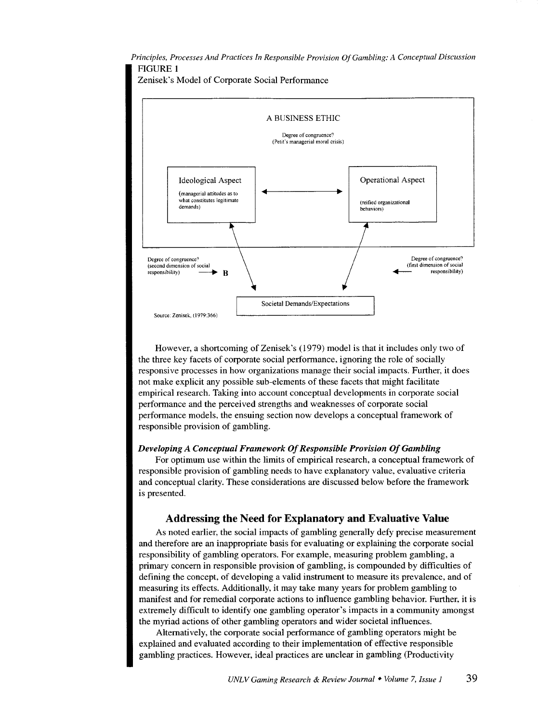*Principles, Processes And Practices In Responsible Provision Of Gambling: A Conceptual Discussion*  FIGURE 1





However, a shortcoming of Zenisek's (1979) model is that it includes only two of the three key facets of corporate social performance, ignoring the role of socially responsive processes in how organizations manage their social impacts. Further, it does not make explicit any possible sub-elements of these facets that might facilitate empirical research. Taking into account conceptual developments in corporate social performance and the perceived strengths and weaknesses of corporate social performance models, the ensuing section now develops a conceptual framework of responsible provision of gambling.

#### *Developing A Conceptual Framework Of Responsible Provision Of Gambling*

For optimum use within the limits of empirical research, a conceptual framework of responsible provision of gambling needs to have explanatory value, evaluative criteria and conceptual clarity. These considerations are discussed below before the framework is presented.

## Addressing the Need for Explanatory and Evaluative Value

As noted earlier, the social impacts of gambling generally defy precise measurement and therefore are an inappropriate basis for evaluating or explaining the corporate social responsibility of gambling operators. For example, measuring problem gambling, a primary concern in responsible provision of gambling, is compounded by difficulties of defining the concept, of developing a valid instrument to measure its prevalence, and of measuring its effects. Additionally, it may take many years for problem gambling to manifest and for remedial corporate actions to influence gambling behavior. Further, it is extremely difficult to identify one gambling operator's impacts in a community amongst the myriad actions of other gambling operators and wider societal influences.

Alternatively, the corporate social performance of gambling operators might be explained and evaluated according to their implementation of effective responsible gambling practices. However, ideal practices are unclear in gambling (Productivity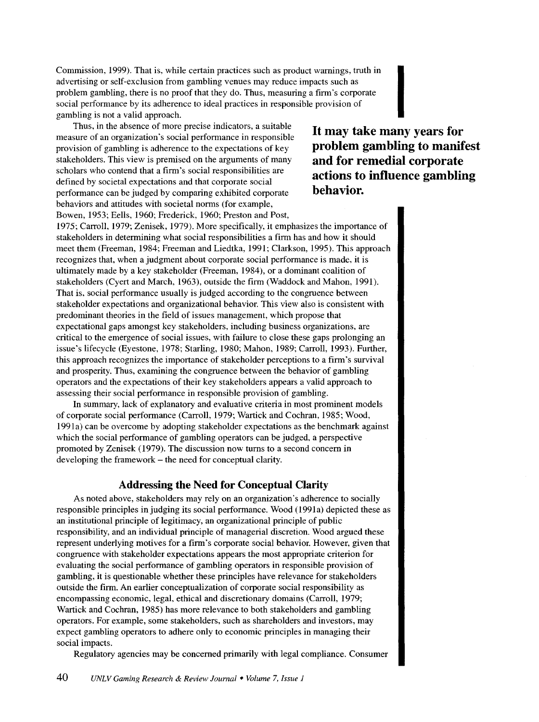Commission, 1999). That is, while certain practices such as product warnings, truth in advertising or self-exclusion from gambling venues may reduce impacts such as problem gambling, there is no proof that they do. Thus, measuring a firm's corporate social performance by its adherence to ideal practices in responsible provision of Commission, 1999). That is, while certain practices such as product warnings, truth in<br>advertising or self-exclusion from gambling venues may reduce impacts such as<br>problem gambling, there is no proof that they do. Thus,

Thus, in the absence of more precise indicators, a suitable measure of an organization's social performance in responsible provision of gambling is adherence to the expectations of key stakeholders. This view is premised on the arguments of many scholars who contend that a firm's social responsibilities are defined by societal expectations and that corporate social performance can be judged by comparing exhibited corporate behaviors and attitudes with societal norms (for example, Bowen, 1953; Eells, 1960; Frederick, 1960; Preston and Post,

**It may take many years for problem gambling to manifest and for remedial corporate actions to influence gambling behavior.** 

1975; Carroll, 1979; Zenisek, 1979). More specifically, it emphasizes the importance of stakeholders in determining what social responsibilities a firm has and how it should meet them (Freeman, 1984; Freeman and Liedtka, 1991; Clarkson, 1995). This approach recognizes that, when a judgment about corporate social performance is made, it is ultimately made by a key stakeholder (Freeman, 1984), or a dominant coalition of stakeholders (Cyert and March, 1963), outside the firm (Waddock and Mahon, 1991). That is, social performance usually is judged according to the congruence between stakeholder expectations and organizational behavior. This view also is consistent with predominant theories in the field of issues management, which propose that expectational gaps amongst key stakeholders, including business organizations, are critical to the emergence of social issues, with failure to close these gaps prolonging an issue's lifecycle (Eyestone, 1978; Starling, 1980; Mahon, 1989; Carroll, 1993). Further, this approach recognizes the importance of stakeholder perceptions to a firm's survival and prosperity. Thus, examining the congruence between the behavior of gambling operators and the expectations of their key stakeholders appears a valid approach to assessing their social performance in responsible provision of gambling.

In summary, lack of explanatory and evaluative criteria in most prominent models of corporate social performance (Carroll, 1979; Wartick and Cochran, 1985; Wood, 1991 a) can be overcome by adopting stakeholder expectations as the benchmark against which the social performance of gambling operators can be judged, a perspective promoted by Zenisek (1979). The discussion now turns to a second concern in developing the framework – the need for conceptual clarity.

#### **Addressing the Need for Conceptual Clarity**

As noted above, stakeholders may rely on an organization's adherence to socially responsible principles in judging its social performance. Wood (1991a) depicted these as an institutional principle of legitimacy, an organizational principle of public responsibility, and an individual principle of managerial discretion. Wood argued these represent underlying motives for a firm's corporate social behavior. However, given that congruence with stakeholder expectations appears the most appropriate criterion for evaluating the social performance of gambling operators in responsible provision of gambling, it is questionable whether these principles have relevance for stakeholders outside the firm. An earlier conceptualization of corporate social responsibility as encompassing economic, legal, ethical and discretionary domains (Carroll, 1979; Wartick and Cochran, 1985) has more relevance to both stakeholders and gambling operators. For example, some stakeholders, such as shareholders and investors, may expect gambling operators to adhere only to economic principles in managing their social impacts.

Regulatory agencies may be concerned primarily with legal compliance. Consumer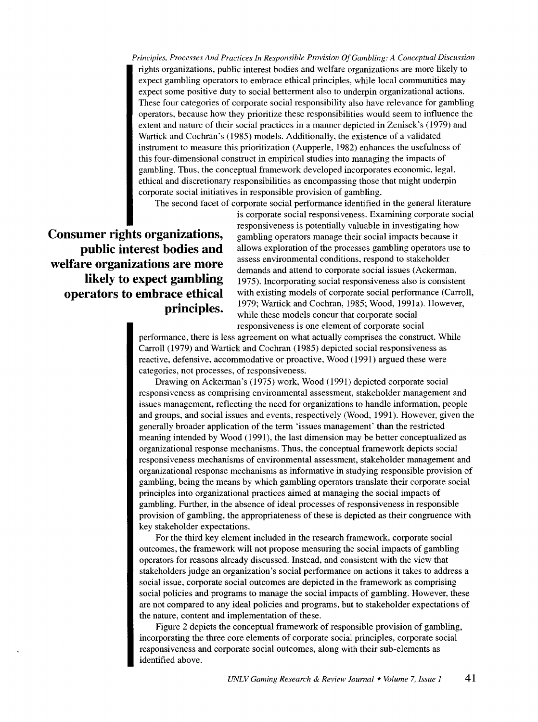*Principles, Processes And Practices In Responsible Provision Of Gambling: A Conceptual Discussion*  rights organizations, public interest bodies and welfare organizations are more likely to expect gambling operators to embrace ethical principles, while local communities may expect some positive duty to social betterment also to underpin organizational actions. These four categories of corporate social responsibility also have relevance for gambling operators, because how they prioritize these responsibilities would seem to influence the extent and nature of their social practices in a manner depicted in Zenisek's (1979) and Wartick and Cochran's (1985) models. Additionally. the existence of a validated instrument to measure this prioritization (Aupperle, 1982) enhances the usefulness of this four-dimensional construct in empirical studies into managing the impacts of gambling. Thus, the conceptual framework developed incorporates economic, legal, ethical and discretionary responsibilities as encompassing those that might underpin corporate social initiatives in responsible provision of gambling.

The second facet of corporate social performance identified in the general literature

**Consumer rights organizations, public interest bodies and welfare organizations are more likely to expect gambling operators to embrace ethical principles.**  is corporate social responsiveness. Examining corporate social responsiveness is potentially valuable in investigating how gambling operators manage their social impacts because it allows exploration of the processes gambling operators use to assess environmental conditions, respond to stakeholder demands and attend to corporate social issues (Ackerman. 1975). Incorporating social responsiveness also is consistent with existing models of corporate social performance (Carroll, 1979; Wartick and Cochran, 1985; Wood, 1991a). However, while these models concur that corporate social responsiveness is one element of corporate social

performance, there is less agreement on what actually comprises the construct. While Carroll (1979) and Wartick and Cochran (1985) depicted social responsiveness as reactive, defensive, accommodative or proactive, Wood (1991) argued these were categories, not processes, of responsiveness.

Drawing on Ackerman's (1975) work, Wood (1991) depicted corporate social responsiveness as comprising environmental assessment, stakeholder management and issues management, reflecting the need for organizations to handle information, people and groups, and social issues and events, respectively (Wood, 1991). However, given the generally broader application of the term 'issues management' than the restricted meaning intended by Wood (1991), the last dimension may be better conceptualized as organizational response mechanisms. Thus, the conceptual framework depicts social responsiveness mechanisms of environmental assessment, stakeholder management and organizational response mechanisms as informative in studying responsible provision of gambling, being the means by which gambling operators translate their corporate social principles into organizational practices aimed at managing the social impacts of gambling. Further, in the absence of ideal processes of responsiveness in responsible provision of gambling, the appropriateness of these is depicted as their congruence with key stakeholder expectations.

For the third key element included in the research framework, corporate social outcomes, the framework will not propose measuring the social impacts of gambling operators for reasons already discussed. Instead, and consistent with the view that stakeholders judge an organization's social performance on actions it takes to address a social issue, corporate social outcomes are depicted in the framework as comprising social policies and programs to manage the social impacts of gambling. However, these are not compared to any ideal policies and programs, but to stakeholder expectations of the nature, content and implementation of these.

Figure 2 depicts the conceptual framework of responsible provision of gambling, incorporating the three core elements of corporate social principles, corporate social responsiveness and corporate social outcomes, along with their sub-elements as identified above.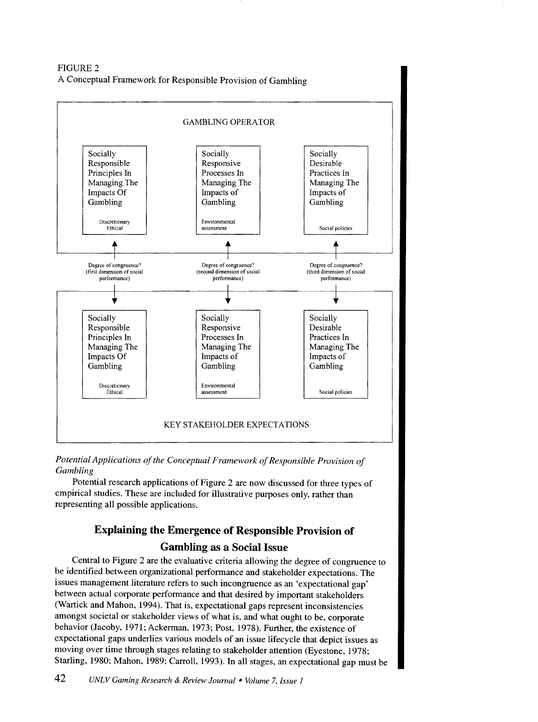FIGURE2 A Conceptual Framework for Responsible Provision of Gambling



*Potential Applications of the Conceptual Framework of Responsible Provision of Gambling* 

Potential research applications of Figure 2 are now discussed for three types of empirical studies. These are included for illustrative purposes only, rather than representing all possible applications.

# Explaining the Emergence of Responsible Provision of Gambling as a Social Issue

Central to Figure 2 are the evaluative criteria allowing the degree of congruence to be identified between organizational performance and stakeholder expectations. The issues management literature refers to such incongruence as an 'expectational gap' between actual corporate performance and that desired by important stakeholders (Wartick and Mahon, 1994). That is, expectational gaps represent inconsistencies amongst societal or stakeholder views of what is, and what ought to be, corporate behavior (Jacoby, 1971; Ackerman, 1973; Post, 1978). Further, the existence of expectational gaps underlies various models of an issue lifecycle that depict issues as moving over time through stages relating to stakeholder attention (Eyestone, 1978; Starling, 1980; Mahon, 1989; Carroll, 1993). In all stages, an expectational gap must be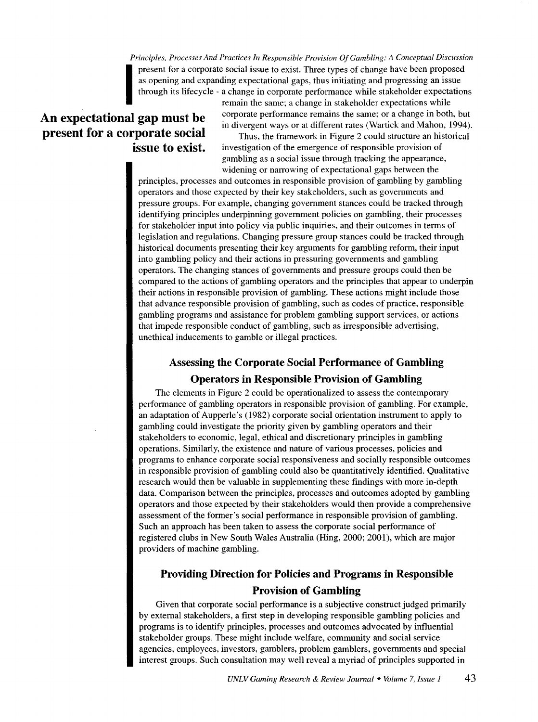*Principles, Processes And Practices In Responsible Provision Of Gambling: A Conceptual Discussion*  present for a corporate social issue to exist. Three types of change have been proposed<br>as opening and expanding expectational gaps, thus initiating and progressing an issue<br>through its lifecycle - a change in corporate pe as opening and expanding expectational gaps, thus initiating and progressing an issue through its lifecycle - a change in corporate performance while stakeholder expectations

# **An expectational gap must be present for a corporate social issue to exist.**

remain the same; a change in stakeholder expectations while corporate performance remains the same; or a change in both, but in divergent ways or at different rates (Wartick and Mahon, 1994).

Thus, the framework in Figure 2 could structure an historical investigation of the emergence of responsible provision of gambling as a social issue through tracking the appearance, widening or narrowing of expectational gaps between the

principles, processes and outcomes in responsible provision of gambling by gambling operators and those expected by their key stakeholders, such as governments and pressure groups. For example, changing government stances could be tracked through identifying principles underpinning government policies on gambling, their processes for stakeholder input into policy via public inquiries, and their outcomes in terms of legislation and regulations. Changing pressure group stances could be tracked through historical documents presenting their key arguments for gambling reform, their input into gambling policy and their actions in pressuring governments and gambling operators. The changing stances of governments and pressure groups could then be compared to the actions of gambling operators and the principles that appear to underpin their actions in responsible provision of gambling. These actions might include those that advance responsible provision of gambling, such as codes of practice, responsible gambling programs and assistance for problem gambling support services, or actions that impede responsible conduct of gambling, such as irresponsible advertising, unethical inducements to gamble or illegal practices.

# **Assessing the Corporate Social Performance of Gambling**

#### **Operators in Responsible Provision of Gambling**

The elements in Figure 2 could be operationalized to assess the contemporary performance of gambling operators in responsible provision of gambling. For example, an adaptation of Aupperle's (1982) corporate social orientation instrument to apply to gambling could investigate the priority given by gambling operators and their stakeholders to economic, legal, ethical and discretionary principles in gambling operations. Similarly, the existence and nature of various processes, policies and programs to enhance corporate social responsiveness and socially responsible outcomes in responsible provision of gambling could also be quantitatively identified. Qualitative research would then be valuable in supplementing these findings with more in-depth data. Comparison between the principles, processes and outcomes adopted by gambling operators and those expected by their stakeholders would then provide a comprehensive assessment of the former's social performance in responsible provision of gambling. Such an approach has been taken to assess the corporate social performance of registered clubs in New South Wales Australia (Hing, 2000; 2001), which are major providers of machine gambling.

# **Providing Direction for Policies and Programs in Responsible Provision of Gambling**

Given that corporate social performance is a subjective construct judged primarily by external stakeholders, a first step in developing responsible gambling policies and programs is to identify principles, processes and outcomes advocated by influential stakeholder groups. These might include welfare, community and social service agencies, employees, investors, gamblers, problem gamblers, governments and special interest groups. Such consultation may well reveal a myriad of principles supported in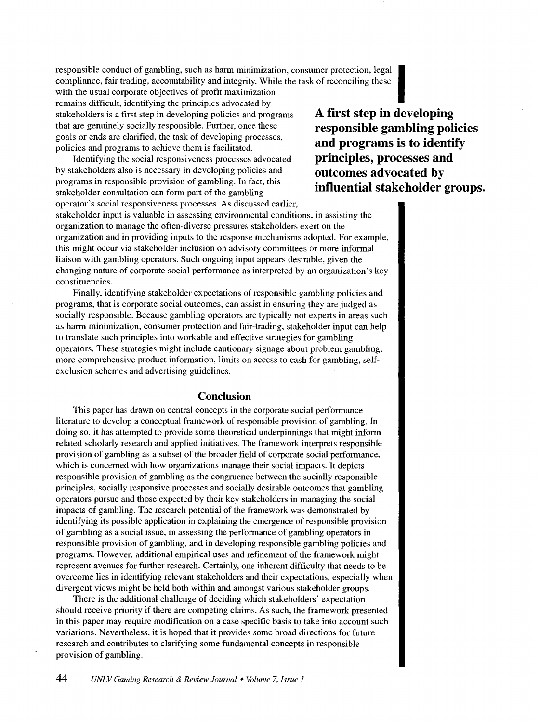responsible conduct of gambling, such as harm minimization, consumer protection, legal compliance, fair trading, accountability and integrity. While the task of reconciling these

with the usual corporate objectives of profit maximization remains difficult, identifying the principles advocated by stakeholders is a first step in developing policies and programs **A first step in developing**<br>that are genuinely socially responsible. Further, once these **responsible gambling political** goals or ends are clarified, the task of developing processes,<br>**and programs is to identify** 

Identifying the social responsiveness processes advocated by stakeholders also is necessary in developing policies and **outcomes advocated by**  programs in responsible provision of gambling. In fact, this  $\qquad \qquad \textbf{influential stakeholders}$  *reproduced the semi-finition on form part of the semi-ling* stakeholder consultation can form part of the gambling operator's social responsiveness processes. As discussed earlier,

the gambling policies responsible gambling policies policies and programs to achieve them is facilitated. **and programs is to identify** Identifying the social responsiveness processes advocated **principles, processes and** 

stakeholder input is valuable in assessing environmental conditions, in assisting the organization to manage the often-diverse pressures stakeholders exert on the organization and in providing inputs to the response mechanisms adopted. For example, this might occur via stakeholder inclusion on advisory committees or more informal liaison with gambling operators. Such ongoing input appears desirable, given the changing nature of corporate social performance as interpreted by an organization's key constituencies.

Finally, identifying stakeholder expectations of responsible gambling policies and programs, that is corporate social outcomes, can assist in ensuring they are judged as socially responsible. Because gambling operators are typically not experts in areas such as harm minimization, consumer protection and fair-trading, stakeholder input can help to translate such principles into workable and effective strategies for gambling operators. These strategies might include cautionary signage about problem gambling, more comprehensive product information, limits on access to cash for gambling, selfexclusion schemes and advertising guidelines.

## **Conclusion**

This paper has drawn on central concepts in the corporate social performance literature to develop a conceptual framework of responsible provision of gambling. In doing so, it has attempted to provide some theoretical underpinnings that might inform related scholarly research and applied initiatives. The framework interprets responsible provision of gambling as a subset of the broader field of corporate social performance, which is concerned with how organizations manage their social impacts. It depicts responsible provision of gambling as the congruence between the socially responsible principles, socially responsive processes and socially desirable outcomes that gambling operators pursue and those expected by their key stakeholders in managing the social impacts of gambling. The research potential of the framework was demonstrated by identifying its possible application in explaining the emergence of responsible provision of gambling as a social issue, in assessing the performance of gambling operators in responsible provision of gambling, and in developing responsible gambling policies and programs. However, additional empirical uses and refinement of the framework might represent avenues for further research. Certainly, one inherent difficulty that needs to be overcome lies in identifying relevant stakeholders and their expectations, especially when divergent views might be held both within and amongst various stakeholder groups.

There is the additional challenge of deciding which stakeholders' expectation should receive priority if there are competing claims. As such, the framework presented in this paper may require modification on a case specific basis to take into account such variations. Nevertheless, it is hoped that it provides some broad directions for future research and contributes to clarifying some fundamental concepts in responsible provision of gambling.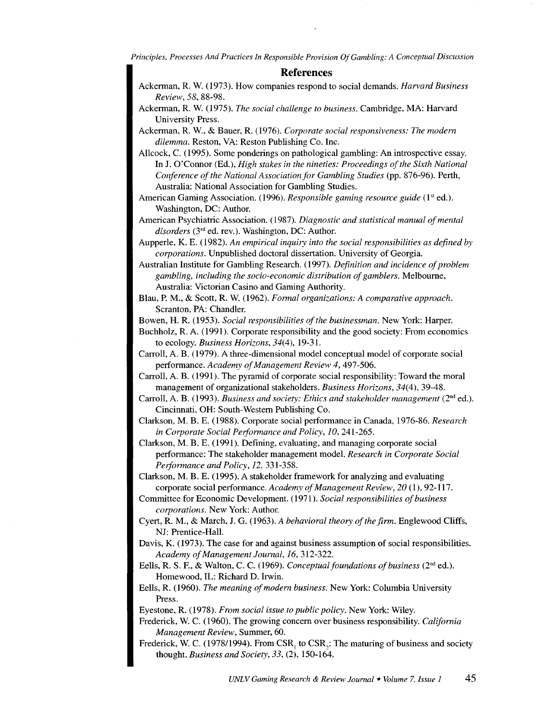*Principles, Processes And Practices In Responsible Provision Of Gambling: A Conceptual Discussion* 

#### **References**

- Ackerman, R. W. (1973). How companies respond to social demands. *Harvard Business Review, 58,* 88-98.
- Ackerman, R. W. (1975). *The social challenge to business.* Cambridge, MA: Harvard University Press.
- Ackerman, R. W., & Bauer, R. (1976). *Corporate social responsiveness: The modern dilemma.* Reston, VA: Reston Publishing Co. Inc.
- Allcock, C. (1995). Some ponderings on pathological gambling: An introspective essay. In J. O'Connor (Ed.), *High stakes in the nineties: Proceedings of the Sixth National Conference of the National Association for Gambling Studies* (pp. 876-96). Perth, Australia: National Association for Gambling Studies.
- American Gaming Association. (1996). *Responsible gaming resource guide* (1<sup>st</sup> ed.). Washington, DC: Author.
- American Psychiatric Association. ( 1987). *Diagnostic and statistical manual of mental disorders* (3<sup>rd</sup> ed. rev.). Washington, DC: Author.
- Aupperle, K. E. (1982). *An empirical inquiry into the social responsibilities as defined by corporations.* Unpublished doctoral dissertation. University of Georgia.
- Australian Institute for Gambling Research. ( 1997). *Definition and incidence of problem gambling, including the socio-economic distribution of gamblers.* Melbourne, Australia: Victorian Casino and Gaming Authority.
- Blau, P.M., & Scott, R. W. (1962). *Formal organizations: A comparative approach.*  Scranton, PA: Chandler.

Bowen, H. R. (1953). *Social responsibilities of the businessman.* New York: Harper.

- Buchholz, R. A. (1991). Corporate responsibility and the good society: From economics to ecology. *Business Horizons,* 34(4), 19-31.
- Carroll, A. B. (1979). A three-dimensional model conceptual model of corporate social performance. *Academy of Management Review 4,* 497-506.
- Carroll, A. B. (1991). The pyramid of corporate social responsibility: Toward the moral management of organizational stakeholders. *Business Horizons, 34(4),* 39-48.
- Carroll, A. B. (1993). *Business and society: Ethics and stakeholder management* ( $2<sup>nd</sup>$  ed.). Cincinnati, OH: South-Western Publishing Co.
- Clarkson, M. B. E. (1988). Corporate social performance in Canada, 1976-86. *Research in Corporate Social Peiformance and Policy,* 10,241-265.
- Clarkson, M. B. E. (1991). Defining, evaluating, and managing corporate social performance: The stakeholder management model. *Research in Corporate Social Peiformance and Policy, 12,* 331-358.
- Clarkson, M. B. E. (1995). A stakeholder framework for analyzing and evaluating corporate social performance. *Academy of Management Review*, 20 (1), 92-117.
- Committee for Economic Development. ( 1971 ). *Social responsibilities of business corporations.* New York: Author.
- Cyert, R. M., & March, J. G. (1963). *A behavioral theory of the firm.* Englewood Cliffs, NJ: Prentice-Hall.
- Davis, K. (1973). The case for and against business assumption of social responsibilities. *Academy of Management Journal,* 16,312-322.
- Eells, R. S. F., & Walton, C. C. (1969). *Conceptual foundations of business* (2<sup>nd</sup> ed.). Homewood, IL: Richard D. Irwin.
- Eells, R. (1960). *The meaning of modem business.* New York: Columbia University Press.

Eyestone, R. (1978). *From social issue to public policy.* New York: Wiley.

- Frederick, W. C. (1960). The growing concern over business responsibility. *California Management Review,* Summer, 60.
- Frederick, W. C. (1978/1994). From  $CSR_{1}$  to  $CSR_{2}$ : The maturing of business and society thought. *Business and Society, 33,* (2), 150-164.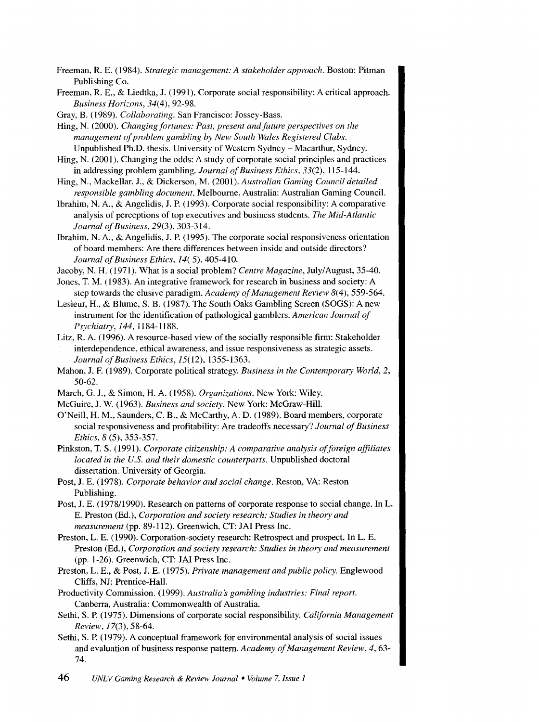Freeman, R. E. ( 1984 ). *Strategic management: A stakeholder approach.* Boston: Pitman Publishing Co.

Freeman, R. E., & Liedtka, J. (1991). Corporate social responsibility: A critical approach. *Business Horizons, 34(4), 92-98.* 

Gray, B. (1989). *Collaborating.* San Francisco: Jossey-Bass.

Hing, N. (2000). *Changing fortunes: Past, present and future perspectives on the management of problem gambling by New South Wales Registered Clubs.*  Unpublished Ph.D. thesis. University of Western Sydney- Macarthur, Sydney.

Hing, N. (2001). Changing the odds: A study of corporate social principles and practices in addressing problem gambling. *Journal of Business Ethics, 33(2),* 115-144.

Hing, N., Mackellar, J., & Dickerson, M. (2001). *Australian Gaming Council detailed responsible gambling document.* Melbourne, Australia: Australian Gaming Council.

Ibrahim, N. A., & Angelidis, J. P. (1993). Corporate social responsibility: A comparative analysis of perceptions of top executives and business students. *The Mid-Atlantic Journal of Business,* 29(3), 303-314.

Ibrahim, N. A., & Angelidis, J.P. (1995). The corporate social responsiveness orientation of board members: Are there differences between inside and outside directors? *Journal of Business Ethics, 14(* 5), 405-410.

Jacoby, N. H. (1971). What is a social problem? *Centre Magazine*, July/August, 35-40.

Jones, T. M. (1983). An integrative framework for research in business and society: A step towards the elusive paradigm. *Academy of Management Review* 8(4), 559-564.

Lesieur, H., & Blume, S. B. (1987). The South Oaks Gambling Screen (SOGS): A new instrument for the identification of pathological gamblers. *American Journal of Psychiatry, 144,* 1184-1188.

- Litz, R. A. ( 1996). A resource-based view of the socially responsible firm: Stakeholder interdependence, ethical awareness, and issue responsiveness as strategic assets. *Journal of Business Ethics,* 15(12), 1355-1363.
- Mahon, J. F. (1989). Corporate political strategy. *Business in the Contemporary World, 2,*  50-62.

March, G. J., & Simon, H. A. (1958). *Organizations.* New York: Wiley.

McGuire, J. W. (1963). *Business and society.* New York: McGraw-Hill.

O'Neill, H. M., Saunders, C. B., & McCarthy, A. D. (1989). Board members, corporate social responsiveness and profitability: Are tradeoffs necessary? *Journal of Business Ethics, 8* (5), 353-357.

Pinkston, T. S. (1991). *Corporate citizenship: A comparative analysis of foreign affiliates located in the U.S. and their domestic counterparts.* Unpublished doctoral dissertation. University of Georgia.

Post, J. E. (1978). *Corporate behavior and social change.* Reston, VA: Reston Publishing.

Post, J. E. (1978/1990). Research on patterns of corporate response to social change. In L. E. Preston (Ed.), *Corporation and society research: Studies in theory and measurement* (pp. 89-112). Greenwich, CT: JAI Press Inc.

Preston, L. E. (1990). Corporation-society research: Retrospect and prospect. In L. E. Preston (Ed.), *Corporation and society research: Studies in theory and measurement*  (pp. 1-26). Greenwich, CT: JAI Press Inc.

Preston, L. E., & Post, J. E. (1975). *Private management and public policy.* Englewood Cliffs, NJ: Prentice-Hall.

Productivity Commission. ( 1999). *Australia's gambling industries: Final report.*  Canberra, Australia: Commonwealth of Australia.

Sethi, S. P. (1975). Dimensions of corporate social responsibility. *California Management Review,* 17(3), 58-64.

Sethi, S. P. (1979). A conceptual framework for environmental analysis of social issues and evaluation of business response pattern. *Academy of Management Review, 4,* 63- 74.

46 *UNLV Gaming Research* & *Review Joumal* • *Volume* 7, *Issue 1*